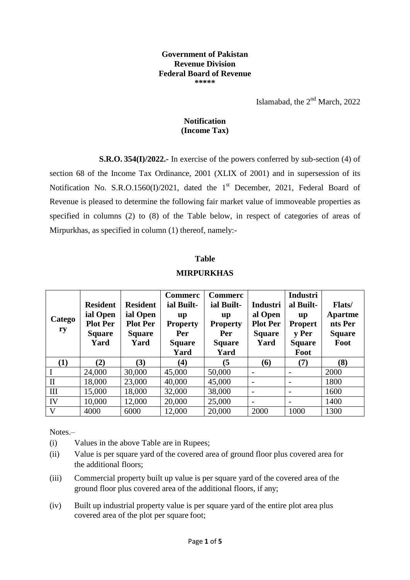## **Government of Pakistan Revenue Division Federal Board of Revenue \*\*\*\*\***

Islamabad, the  $2<sup>nd</sup>$  March, 2022

## **Notification (Income Tax)**

**S.R.O. 354(I)/2022.-** In exercise of the powers conferred by sub-section (4) of section 68 of the Income Tax Ordinance, 2001 (XLIX of 2001) and in supersession of its Notification No. S.R.O.1560(I)/2021, dated the 1<sup>st</sup> December, 2021, Federal Board of Revenue is pleased to determine the following fair market value of immoveable properties as specified in columns (2) to (8) of the Table below, in respect of categories of areas of Mirpurkhas, as specified in column (1) thereof, namely:-

## **Table**

## **MIRPURKHAS**

| <b>Catego</b><br>ry | <b>Resident</b><br>ial Open<br><b>Plot Per</b><br><b>Square</b><br>Yard | <b>Resident</b><br>ial Open<br><b>Plot Per</b><br><b>Square</b><br>Yard | <b>Commerc</b><br>ial Built-<br>$\mathbf{u} \mathbf{p}$<br><b>Property</b><br>Per<br><b>Square</b><br>Yard | <b>Commerc</b><br>ial Built-<br><b>up</b><br><b>Property</b><br>Per<br><b>Square</b><br>Yard | <b>Industri</b><br>al Open<br><b>Plot Per</b><br><b>Square</b><br>Yard | <b>Industri</b><br>al Built-<br>up<br><b>Propert</b><br><b>v</b> Per<br><b>Square</b><br>Foot | <b>Flats</b> /<br>Apartme<br>nts Per<br><b>Square</b><br>Foot |
|---------------------|-------------------------------------------------------------------------|-------------------------------------------------------------------------|------------------------------------------------------------------------------------------------------------|----------------------------------------------------------------------------------------------|------------------------------------------------------------------------|-----------------------------------------------------------------------------------------------|---------------------------------------------------------------|
| (1)                 | (2)                                                                     | (3)                                                                     | (4)                                                                                                        | (5)                                                                                          | (6)                                                                    | (7)                                                                                           | (8)                                                           |
|                     | 24,000                                                                  | 30,000                                                                  | 45,000                                                                                                     | 50,000                                                                                       | $\overline{\phantom{a}}$                                               |                                                                                               | 2000                                                          |
| $\mathbf{I}$        | 18,000                                                                  | 23,000                                                                  | 40,000                                                                                                     | 45,000                                                                                       | $\overline{\phantom{a}}$                                               |                                                                                               | 1800                                                          |
| III                 | 15,000                                                                  | 18,000                                                                  | 32,000                                                                                                     | 38,000                                                                                       | $\overline{\phantom{a}}$                                               |                                                                                               | 1600                                                          |
| IV                  | 10,000                                                                  | 12,000                                                                  | 20,000                                                                                                     | 25,000                                                                                       | $\overline{\phantom{a}}$                                               |                                                                                               | 1400                                                          |
| V                   | 4000                                                                    | 6000                                                                    | 12,000                                                                                                     | 20,000                                                                                       | 2000                                                                   | 1000                                                                                          | 1300                                                          |

Notes.–

(i) Values in the above Table are in Rupees;

- (ii) Value is per square yard of the covered area of ground floor plus covered area for the additional floors;
- (iii) Commercial property built up value is per square yard of the covered area of the ground floor plus covered area of the additional floors, if any;
- (iv) Built up industrial property value is per square yard of the entire plot area plus covered area of the plot per square foot;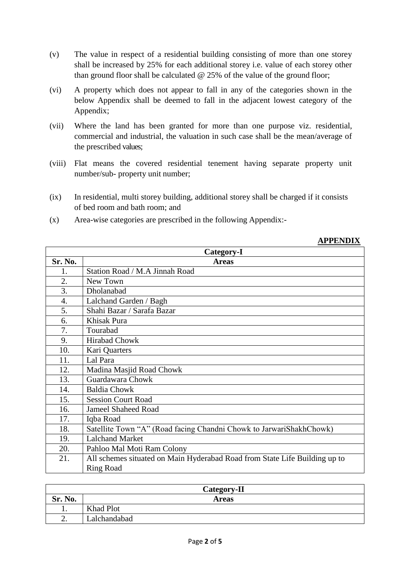- (v) The value in respect of a residential building consisting of more than one storey shall be increased by 25% for each additional storey i.e. value of each storey other than ground floor shall be calculated  $@$  25% of the value of the ground floor;
- (vi) A property which does not appear to fall in any of the categories shown in the below Appendix shall be deemed to fall in the adjacent lowest category of the Appendix;
- (vii) Where the land has been granted for more than one purpose viz. residential, commercial and industrial, the valuation in such case shall be the mean/average of the prescribed values;
- (viii) Flat means the covered residential tenement having separate property unit number/sub- property unit number;
- (ix) In residential, multi storey building, additional storey shall be charged if it consists of bed room and bath room; and
- (x) Area-wise categories are prescribed in the following Appendix:-

| APPENDIX |  |
|----------|--|
|          |  |

|         | Category-I                                                                 |
|---------|----------------------------------------------------------------------------|
| Sr. No. | <b>Areas</b>                                                               |
| 1.      | Station Road / M.A Jinnah Road                                             |
| 2.      | New Town                                                                   |
| 3.      | Dholanabad                                                                 |
| 4.      | Lalchand Garden / Bagh                                                     |
| 5.      | Shahi Bazar / Sarafa Bazar                                                 |
| 6.      | Khisak Pura                                                                |
| 7.      | Tourabad                                                                   |
| 9.      | <b>Hirabad Chowk</b>                                                       |
| 10.     | Kari Quarters                                                              |
| 11.     | Lal Para                                                                   |
| 12.     | Madina Masjid Road Chowk                                                   |
| 13.     | Guardawara Chowk                                                           |
| 14.     | <b>Baldia Chowk</b>                                                        |
| 15.     | <b>Session Court Road</b>                                                  |
| 16.     | <b>Jameel Shaheed Road</b>                                                 |
| 17.     | Iqba Road                                                                  |
| 18.     | Satellite Town "A" (Road facing Chandni Chowk to JarwariShakhChowk)        |
| 19.     | <b>Lalchand Market</b>                                                     |
| 20.     | Pahloo Mal Moti Ram Colony                                                 |
| 21.     | All schemes situated on Main Hyderabad Road from State Life Building up to |
|         | <b>Ring Road</b>                                                           |

|                | Category-II      |
|----------------|------------------|
| <b>Sr. No.</b> | <b>Areas</b>     |
| . .            | <b>Khad Plot</b> |
| ٠.             | Lalchandabad     |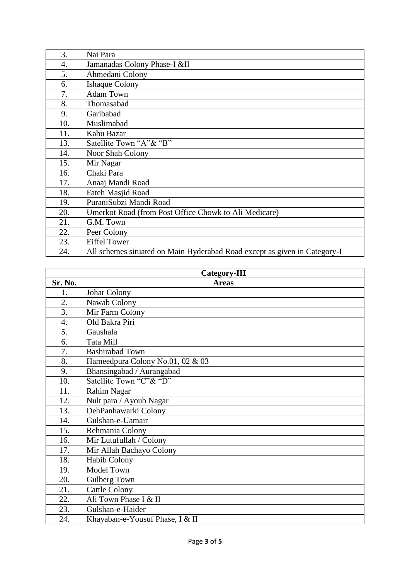| 3.  | Nai Para                                                                  |
|-----|---------------------------------------------------------------------------|
| 4.  | Jamanadas Colony Phase-I &II                                              |
| 5.  | Ahmedani Colony                                                           |
| 6.  | <b>Ishaque Colony</b>                                                     |
| 7.  | <b>Adam Town</b>                                                          |
| 8.  | Thomasabad                                                                |
| 9.  | Garibabad                                                                 |
| 10. | Muslimabad                                                                |
| 11. | Kahu Bazar                                                                |
| 13. | Satellite Town "A"& "B"                                                   |
| 14. | Noor Shah Colony                                                          |
| 15. | Mir Nagar                                                                 |
| 16. | Chaki Para                                                                |
| 17. | Anaaj Mandi Road                                                          |
| 18. | Fateh Masjid Road                                                         |
| 19. | PuraniSubzi Mandi Road                                                    |
| 20. | Umerkot Road (from Post Office Chowk to Ali Medicare)                     |
| 21. | G.M. Town                                                                 |
| 22. | Peer Colony                                                               |
| 23. | <b>Eiffel Tower</b>                                                       |
| 24. | All schemes situated on Main Hyderabad Road except as given in Category-I |

| <b>Category-III</b> |                                  |  |
|---------------------|----------------------------------|--|
| Sr. No.             | <b>Areas</b>                     |  |
| 1.                  | Johar Colony                     |  |
| 2.                  | Nawab Colony                     |  |
| 3.                  | Mir Farm Colony                  |  |
| 4.                  | Old Bakra Piri                   |  |
| 5.                  | Gaushala                         |  |
| 6.                  | Tata Mill                        |  |
| 7.                  | <b>Bashirabad Town</b>           |  |
| 8.                  | Hameedpura Colony No.01, 02 & 03 |  |
| 9.                  | Bhansingabad / Aurangabad        |  |
| 10.                 | Satellite Town "C"& "D"          |  |
| 11.                 | Rahim Nagar                      |  |
| 12.                 | Nult para / Ayoub Nagar          |  |
| 13.                 | DehPanhawarki Colony             |  |
| 14.                 | Gulshan-e-Uamair                 |  |
| 15.                 | Rehmania Colony                  |  |
| 16.                 | Mir Lutufullah / Colony          |  |
| 17.                 | Mir Allah Bachayo Colony         |  |
| 18.                 | Habib Colony                     |  |
| 19.                 | Model Town                       |  |
| 20.                 | Gulberg Town                     |  |
| 21.                 | <b>Cattle Colony</b>             |  |
| 22.                 | Ali Town Phase I & II            |  |
| 23.                 | Gulshan-e-Haider                 |  |
| 24.                 | Khayaban-e-Yousuf Phase, I & II  |  |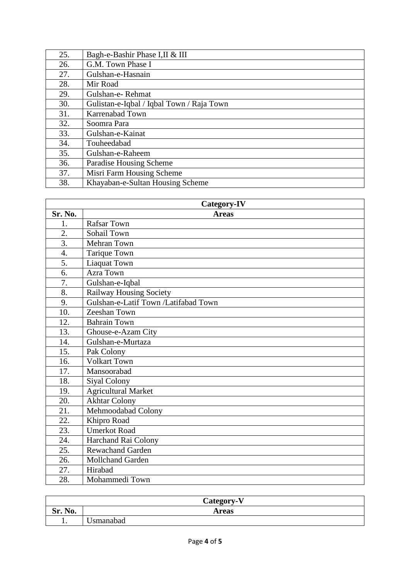| 25. | Bagh-e-Bashir Phase I,II & III            |
|-----|-------------------------------------------|
| 26. | G.M. Town Phase I                         |
| 27. | Gulshan-e-Hasnain                         |
| 28. | Mir Road                                  |
| 29. | Gulshan-e-Rehmat                          |
| 30. | Gulistan-e-Iqbal / Iqbal Town / Raja Town |
| 31. | <b>Karrenabad Town</b>                    |
| 32. | Soomra Para                               |
| 33. | Gulshan-e-Kainat                          |
| 34. | Touheedabad                               |
| 35. | Gulshan-e-Raheem                          |
| 36. | Paradise Housing Scheme                   |
| 37. | Misri Farm Housing Scheme                 |
| 38. | Khayaban-e-Sultan Housing Scheme          |

| Category-IV      |                                      |  |
|------------------|--------------------------------------|--|
| Sr. No.          | <b>Areas</b>                         |  |
| 1.               | <b>Rafsar Town</b>                   |  |
| 2.               | Sohail Town                          |  |
| 3.               | Mehran Town                          |  |
| 4.               | Tarique Town                         |  |
| $\overline{5}$ . | <b>Liaquat Town</b>                  |  |
| 6.               | <b>Azra Town</b>                     |  |
| 7.               | Gulshan-e-Iqbal                      |  |
| 8.               | Railway Housing Society              |  |
| 9.               | Gulshan-e-Latif Town /Latifabad Town |  |
| 10.              | Zeeshan Town                         |  |
| 12.              | <b>Bahrain Town</b>                  |  |
| 13.              | Ghouse-e-Azam City                   |  |
| 14.              | Gulshan-e-Murtaza                    |  |
| 15.              | Pak Colony                           |  |
| 16.              | <b>Volkart Town</b>                  |  |
| 17.              | Mansoorabad                          |  |
| 18.              | <b>Siyal Colony</b>                  |  |
| 19.              | <b>Agricultural Market</b>           |  |
| 20.              | <b>Akhtar Colony</b>                 |  |
| 21.              | Mehmoodabad Colony                   |  |
| 22.              | Khipro Road                          |  |
| 23.              | <b>Umerkot Road</b>                  |  |
| 24.              | Harchand Rai Colony                  |  |
| 25.              | Rewachand Garden                     |  |
| 26.              | Mollchand Garden                     |  |
| 27.              | Hirabad                              |  |
| 28.              | Mohammedi Town                       |  |

|         | Category-V   |
|---------|--------------|
| Sr. No. | <b>Areas</b> |
| . .     | Jsmanabad    |